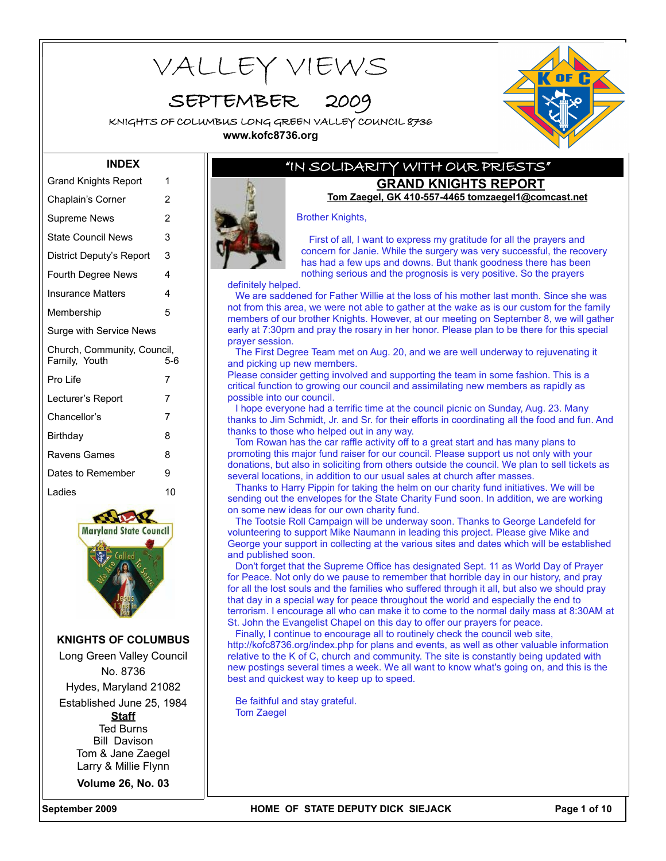VALLEY VIEWS

SEPTEMBER

KNIGHTS OF COLUMBUS LONG GREEN VALLEY COUNCIL 8736 **www.kofc8736.org**



#### **INDEX**

| <b>Grand Knights Report</b>                  | 1              |
|----------------------------------------------|----------------|
| Chaplain's Corner                            | 2              |
| Supreme News                                 | $\overline{2}$ |
| <b>State Council News</b>                    | 3              |
| District Deputy's Report                     | 3              |
| Fourth Degree News                           | 4              |
| Insurance Matters                            | 4              |
| Membership                                   | 5              |
| Surge with Service News                      |                |
|                                              |                |
| Church, Community, Council,<br>Family, Youth | 5-6            |
| Pro Life                                     | 7              |
| Lecturer's Report                            | 7              |
| Chancellor's                                 | 7              |
| Birthday                                     | 8              |
| Ravens Games                                 | 8              |
| Dates to Remember                            | 9              |
| I adies                                      | 10             |



#### **KNIGHTS OF COLUMBUS**

Long Green Valley Council No. 8736

Hydes, Maryland 21082

Established June 25, 1984 **Staff** Ted Burns Bill Davison Tom & Jane Zaegel Larry & Millie Flynn

**Volume 26, No. 03**

### "IN SOLIDARITY WITH OUR PRIESTS" **GRAND KNIGHTS REPORT**

**Tom Zaegel, GK 410-557-4465 tomzaegel1@comcast.net**

Brother Knights,

First of all, I want to express my gratitude for all the prayers and concern for Janie. While the surgery was very successful, the recovery has had a few ups and downs. But thank goodness there has been nothing serious and the prognosis is very positive. So the prayers

definitely helped.

We are saddened for Father Willie at the loss of his mother last month. Since she was not from this area, we were not able to gather at the wake as is our custom for the family members of our brother Knights. However, at our meeting on September 8, we will gather early at 7:30pm and pray the rosary in her honor. Please plan to be there for this special prayer session.

The First Degree Team met on Aug. 20, and we are well underway to rejuvenating it and picking up new members.

Please consider getting involved and supporting the team in some fashion. This is a critical function to growing our council and assimilating new members as rapidly as possible into our council.

I hope everyone had a terrific time at the council picnic on Sunday, Aug. 23. Many thanks to Jim Schmidt, Jr. and Sr. for their efforts in coordinating all the food and fun. And thanks to those who helped out in any way.

Tom Rowan has the car raffle activity off to a great start and has many plans to promoting this major fund raiser for our council. Please support us not only with your donations, but also in soliciting from others outside the council. We plan to sell tickets as several locations, in addition to our usual sales at church after masses.

Thanks to Harry Pippin for taking the helm on our charity fund initiatives. We will be sending out the envelopes for the State Charity Fund soon. In addition, we are working on some new ideas for our own charity fund.

The Tootsie Roll Campaign will be underway soon. Thanks to George Landefeld for volunteering to support Mike Naumann in leading this project. Please give Mike and George your support in collecting at the various sites and dates which will be established and published soon.

Don't forget that the Supreme Office has designated Sept. 11 as World Day of Prayer for Peace. Not only do we pause to remember that horrible day in our history, and pray for all the lost souls and the families who suffered through it all, but also we should pray that day in a special way for peace throughout the world and especially the end to terrorism. I encourage all who can make it to come to the normal daily mass at 8:30AM at St. John the Evangelist Chapel on this day to offer our prayers for peace.

Finally, I continue to encourage all to routinely check the council web site, http://kofc8736.org/index.php for plans and events, as well as other valuable information relative to the K of C, church and community. The site is constantly being updated with new postings several times a week. We all want to know what's going on, and this is the best and quickest way to keep up to speed.

Be faithful and stay grateful. Tom Zaegel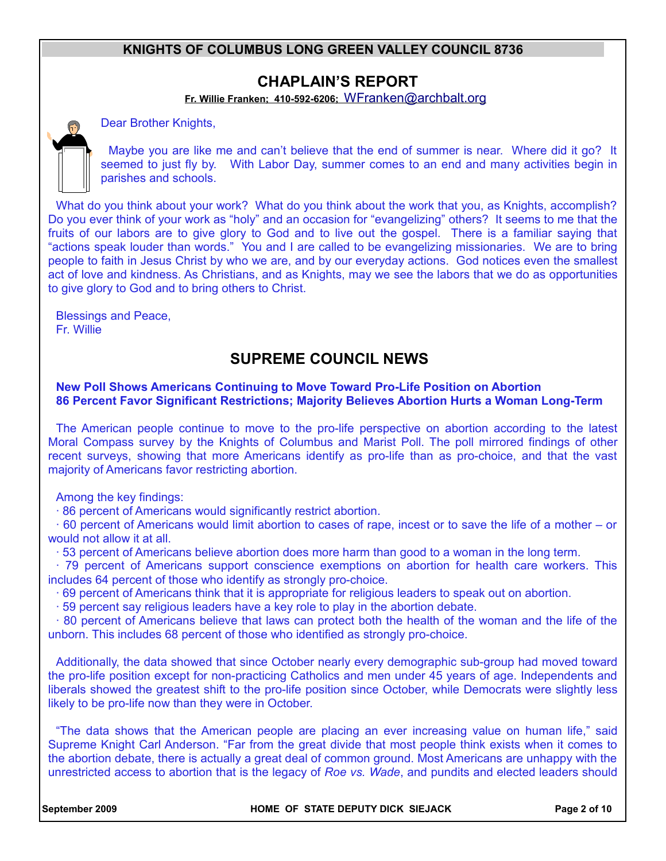## **CHAPLAIN'S REPORT**

**Fr. Willie Franken; 410-592-6206;** [WFranken@archbalt.org](mailto:WFranken@archbalt.org)

Dear Brother Knights,

Maybe you are like me and can't believe that the end of summer is near. Where did it go? It seemed to just fly by. With Labor Day, summer comes to an end and many activities begin in parishes and schools.

What do you think about your work? What do you think about the work that you, as Knights, accomplish? Do you ever think of your work as "holy" and an occasion for "evangelizing" others? It seems to me that the fruits of our labors are to give glory to God and to live out the gospel. There is a familiar saying that "actions speak louder than words." You and I are called to be evangelizing missionaries. We are to bring people to faith in Jesus Christ by who we are, and by our everyday actions. God notices even the smallest act of love and kindness. As Christians, and as Knights, may we see the labors that we do as opportunities to give glory to God and to bring others to Christ.

Blessings and Peace, Fr. Willie

## **SUPREME COUNCIL NEWS**

#### **New Poll Shows Americans Continuing to Move Toward Pro-Life Position on Abortion 86 Percent Favor Significant Restrictions; Majority Believes Abortion Hurts a Woman Long-Term**

The American people continue to move to the pro-life perspective on abortion according to the latest Moral Compass survey by the Knights of Columbus and Marist Poll. The poll mirrored findings of other recent surveys, showing that more Americans identify as pro-life than as pro-choice, and that the vast majority of Americans favor restricting abortion.

Among the key findings:

· 86 percent of Americans would significantly restrict abortion.

· 60 percent of Americans would limit abortion to cases of rape, incest or to save the life of a mother – or would not allow it at all.

· 53 percent of Americans believe abortion does more harm than good to a woman in the long term.

· 79 percent of Americans support conscience exemptions on abortion for health care workers. This includes 64 percent of those who identify as strongly pro-choice.

· 69 percent of Americans think that it is appropriate for religious leaders to speak out on abortion.

· 59 percent say religious leaders have a key role to play in the abortion debate.

· 80 percent of Americans believe that laws can protect both the health of the woman and the life of the unborn. This includes 68 percent of those who identified as strongly pro-choice.

Additionally, the data showed that since October nearly every demographic sub-group had moved toward the pro-life position except for non-practicing Catholics and men under 45 years of age. Independents and liberals showed the greatest shift to the pro-life position since October, while Democrats were slightly less likely to be pro-life now than they were in October.

"The data shows that the American people are placing an ever increasing value on human life," said Supreme Knight Carl Anderson. "Far from the great divide that most people think exists when it comes to the abortion debate, there is actually a great deal of common ground. Most Americans are unhappy with the unrestricted access to abortion that is the legacy of *Roe vs. Wade*, and pundits and elected leaders should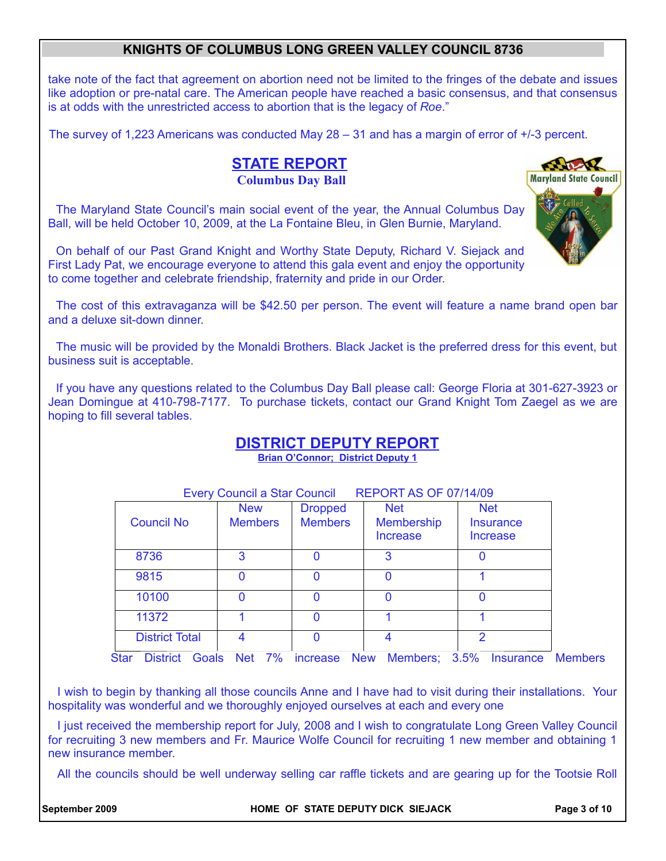take note of the fact that agreement on abortion need not be limited to the fringes of the debate and issues like adoption or pre-natal care. The American people have reached a basic consensus, and that consensus is at odds with the unrestricted access to abortion that is the legacy of *Roe*."

The survey of 1,223 Americans was conducted May 28 – 31 and has a margin of error of +/-3 percent.

## **STATE REPORT Columbus Day Ball**

The Maryland State Council's main social event of the year, the Annual Columbus Day Ball, will be held October 10, 2009, at the La Fontaine Bleu, in Glen Burnie, Maryland.

On behalf of our Past Grand Knight and Worthy State Deputy, Richard V. Siejack and First Lady Pat, we encourage everyone to attend this gala event and enjoy the opportunity to come together and celebrate friendship, fraternity and pride in our Order.

The cost of this extravaganza will be \$42.50 per person. The event will feature a name brand open bar and a deluxe sit-down dinner.

The music will be provided by the Monaldi Brothers. Black Jacket is the preferred dress for this event, but business suit is acceptable.

If you have any questions related to the Columbus Day Ball please call: George Floria at 301-627-3923 or Jean Domingue at 410-798-7177. To purchase tickets, contact our Grand Knight Tom Zaegel as we are hoping to fill several tables.

## **DISTRICT DEPUTY REPORT**

**Brian O'Connor; District Deputy 1**

| <b>Council No</b>     | <b>New</b><br><b>Members</b> | <b>Dropped</b><br><b>Members</b> | <b>Net</b><br><b>Membership</b><br><b>Increase</b> | <b>Net</b><br>Insurance<br>Increase |
|-----------------------|------------------------------|----------------------------------|----------------------------------------------------|-------------------------------------|
| 8736                  | 3                            | 0                                | 3                                                  | 0                                   |
| 9815                  | 0                            | $\Omega$                         | $\Omega$                                           |                                     |
| 10100                 | 0                            | 0                                | $\Omega$                                           | 0                                   |
| 11372                 |                              | 0                                |                                                    |                                     |
| <b>District Total</b> | 4                            | $\Omega$                         | 4                                                  | $\mathcal{P}$                       |

Star District Goals Net 7% increase New Members; 3.5% Insurance Members

I wish to begin by thanking all those councils Anne and I have had to visit during their installations. Your hospitality was wonderful and we thoroughly enjoyed ourselves at each and every one

I just received the membership report for July, 2008 and I wish to congratulate Long Green Valley Council for recruiting 3 new members and Fr. Maurice Wolfe Council for recruiting 1 new member and obtaining 1 new insurance member.

All the councils should be well underway selling car raffle tickets and are gearing up for the Tootsie Roll

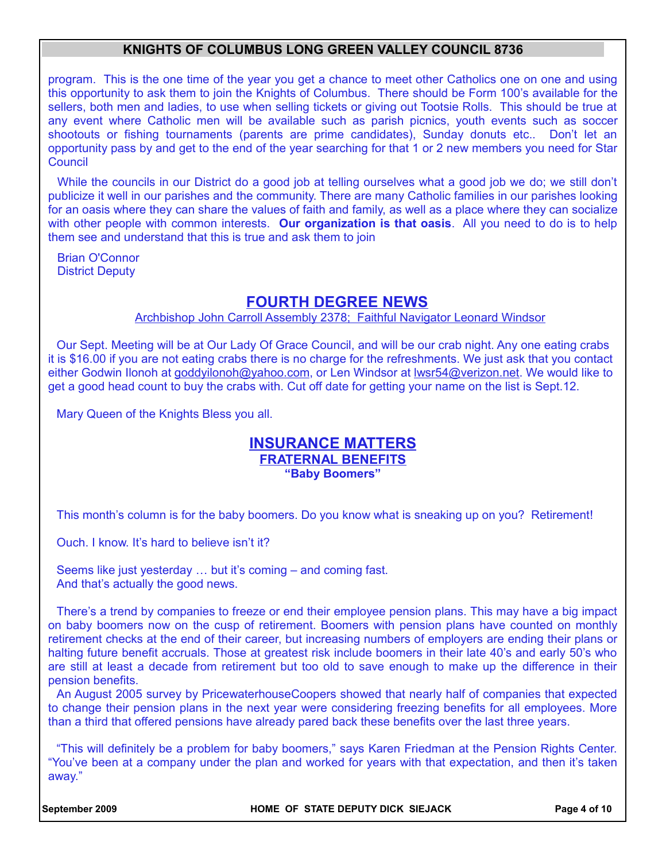program. This is the one time of the year you get a chance to meet other Catholics one on one and using this opportunity to ask them to join the Knights of Columbus. There should be Form 100's available for the sellers, both men and ladies, to use when selling tickets or giving out Tootsie Rolls. This should be true at any event where Catholic men will be available such as parish picnics, youth events such as soccer shootouts or fishing tournaments (parents are prime candidates), Sunday donuts etc.. Don't let an opportunity pass by and get to the end of the year searching for that 1 or 2 new members you need for Star **Council** 

While the councils in our District do a good job at telling ourselves what a good job we do; we still don't publicize it well in our parishes and the community. There are many Catholic families in our parishes looking for an oasis where they can share the values of faith and family, as well as a place where they can socialize with other people with common interests. **Our organization is that oasis**. All you need to do is to help them see and understand that this is true and ask them to join

Brian O'Connor District Deputy

## **FOURTH DEGREE NEWS**

Archbishop John Carroll Assembly 2378; Faithful Navigator Leonard Windsor

Our Sept. Meeting will be at Our Lady Of Grace Council, and will be our crab night. Any one eating crabs it is \$16.00 if you are not eating crabs there is no charge for the refreshments. We just ask that you contact either Godwin Ilonoh at goddyilonoh@yahoo.com, or Len Windsor at Iwsr54@verizon.net. We would like to get a good head count to buy the crabs with. Cut off date for getting your name on the list is Sept.12.

Mary Queen of the Knights Bless you all.

#### **INSURANCE MATTERS FRATERNAL BENEFITS "Baby Boomers"**

This month's column is for the baby boomers. Do you know what is sneaking up on you? Retirement!

Ouch. I know. It's hard to believe isn't it?

Seems like just yesterday … but it's coming – and coming fast. And that's actually the good news.

There's a trend by companies to freeze or end their employee pension plans. This may have a big impact on baby boomers now on the cusp of retirement. Boomers with pension plans have counted on monthly retirement checks at the end of their career, but increasing numbers of employers are ending their plans or halting future benefit accruals. Those at greatest risk include boomers in their late 40's and early 50's who are still at least a decade from retirement but too old to save enough to make up the difference in their pension benefits.

An August 2005 survey by PricewaterhouseCoopers showed that nearly half of companies that expected to change their pension plans in the next year were considering freezing benefits for all employees. More than a third that offered pensions have already pared back these benefits over the last three years.

"This will definitely be a problem for baby boomers," says Karen Friedman at the Pension Rights Center. "You've been at a company under the plan and worked for years with that expectation, and then it's taken away."

September 2009 **Ack and September 2009 HOME OF STATE DEPUTY DICK SIEJACK Page 4 of 10**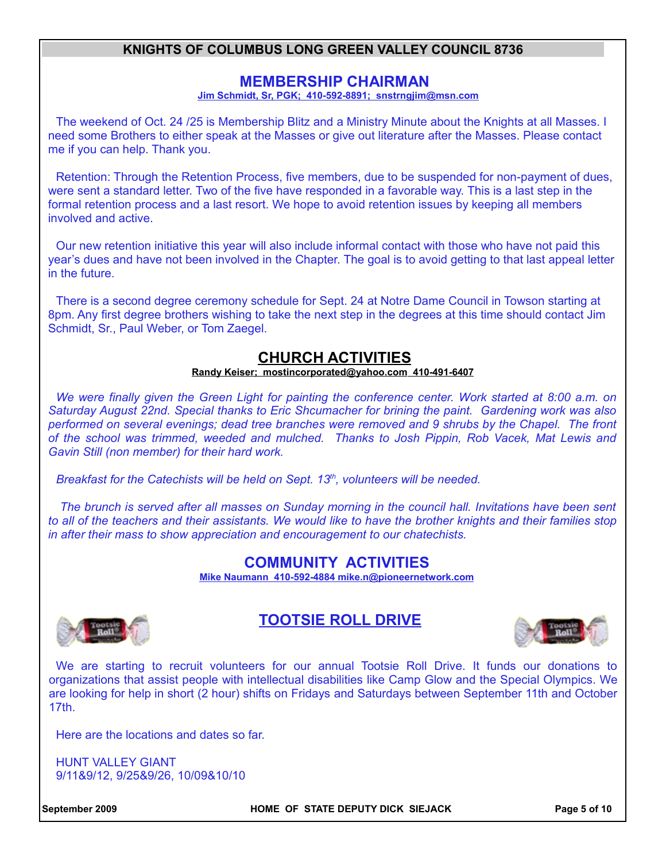### **MEMBERSHIP CHAIRMAN**

**Jim Schmidt, Sr, PGK; 410-592-8891; snstrngjim@msn.com**

The weekend of Oct. 24 /25 is Membership Blitz and a Ministry Minute about the Knights at all Masses. I need some Brothers to either speak at the Masses or give out literature after the Masses. Please contact me if you can help. Thank you.

Retention: Through the Retention Process, five members, due to be suspended for non-payment of dues, were sent a standard letter. Two of the five have responded in a favorable way. This is a last step in the formal retention process and a last resort. We hope to avoid retention issues by keeping all members involved and active.

Our new retention initiative this year will also include informal contact with those who have not paid this year's dues and have not been involved in the Chapter. The goal is to avoid getting to that last appeal letter in the future.

There is a second degree ceremony schedule for Sept. 24 at Notre Dame Council in Towson starting at 8pm. Any first degree brothers wishing to take the next step in the degrees at this time should contact Jim Schmidt, Sr., Paul Weber, or Tom Zaegel.

## **CHURCH ACTIVITIES**

 **Randy Keiser; [mostincorporated@yahoo.com](mailto:mostincorporated@yahoo.com) 410-491-6407**

*We were finally given the Green Light for painting the conference center. Work started at 8:00 a.m. on Saturday August 22nd. Special thanks to Eric Shcumacher for brining the paint. Gardening work was also performed on several evenings; dead tree branches were removed and 9 shrubs by the Chapel. The front of the school was trimmed, weeded and mulched. Thanks to Josh Pippin, Rob Vacek, Mat Lewis and Gavin Still (non member) for their hard work.*

*Breakfast for the Catechists will be held on Sept. 13th, volunteers will be needed.*

*The brunch is served after all masses on Sunday morning in the council hall. Invitations have been sent to all of the teachers and their assistants. We would like to have the brother knights and their families stop in after their mass to show appreciation and encouragement to our chatechists.*

## **COMMUNITY ACTIVITIES**

**Mike Naumann 410-592-4884 mike.n@pioneernetwork.com**



## **TOOTSIE ROLL DRIVE**



We are starting to recruit volunteers for our annual Tootsie Roll Drive. It funds our donations to organizations that assist people with intellectual disabilities like Camp Glow and the Special Olympics. We are looking for help in short (2 hour) shifts on Fridays and Saturdays between September 11th and October 17th.

Here are the locations and dates so far.

HUNT VALLEY GIANT 9/11&9/12, 9/25&9/26, 10/09&10/10

**September 2009 HOME OF STATE DEPUTY DICK SIEJACK Page 5 of 10**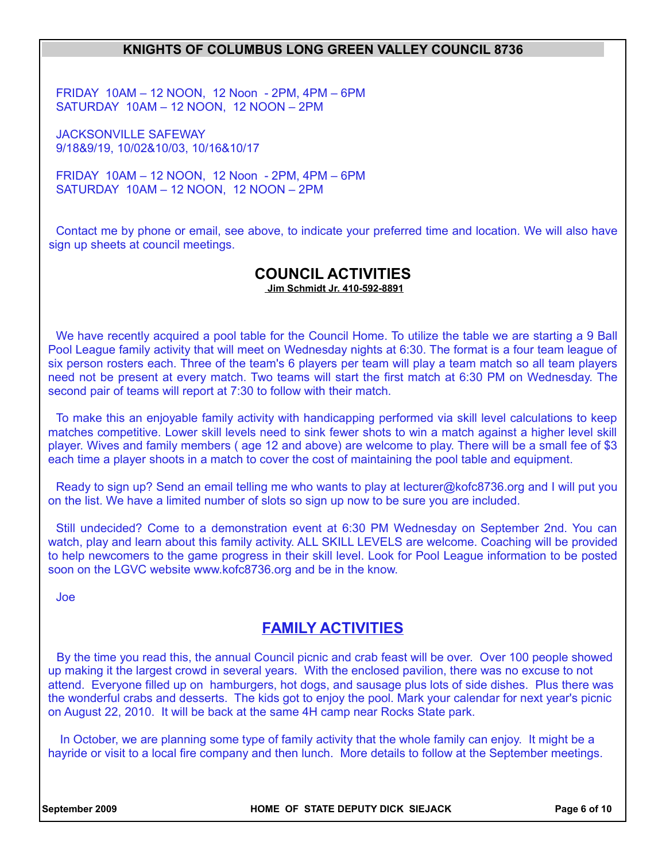FRIDAY 10AM – 12 NOON, 12 Noon - 2PM, 4PM – 6PM SATURDAY 10AM – 12 NOON, 12 NOON – 2PM

JACKSONVILLE SAFEWAY 9/18&9/19, 10/02&10/03, 10/16&10/17

FRIDAY 10AM – 12 NOON, 12 Noon - 2PM, 4PM – 6PM SATURDAY 10AM – 12 NOON, 12 NOON – 2PM

Contact me by phone or email, see above, to indicate your preferred time and location. We will also have sign up sheets at council meetings.

#### **COUNCIL ACTIVITIES Jim Schmidt Jr. 410-592-8891**

We have recently acquired a pool table for the Council Home. To utilize the table we are starting a 9 Ball Pool League family activity that will meet on Wednesday nights at 6:30. The format is a four team league of six person rosters each. Three of the team's 6 players per team will play a team match so all team players need not be present at every match. Two teams will start the first match at 6:30 PM on Wednesday. The second pair of teams will report at 7:30 to follow with their match.

To make this an enjoyable family activity with handicapping performed via skill level calculations to keep matches competitive. Lower skill levels need to sink fewer shots to win a match against a higher level skill player. Wives and family members ( age 12 and above) are welcome to play. There will be a small fee of \$3 each time a player shoots in a match to cover the cost of maintaining the pool table and equipment.

Ready to sign up? Send an email telling me who wants to play at lecturer@kofc8736.org and I will put you on the list. We have a limited number of slots so sign up now to be sure you are included.

Still undecided? Come to a demonstration event at 6:30 PM Wednesday on September 2nd. You can watch, play and learn about this family activity. ALL SKILL LEVELS are welcome. Coaching will be provided to help newcomers to the game progress in their skill level. Look for Pool League information to be posted soon on the LGVC website www.kofc8736.org and be in the know.

Joe

## **FAMILY ACTIVITIES**

By the time you read this, the annual Council picnic and crab feast will be over. Over 100 people showed up making it the largest crowd in several years. With the enclosed pavilion, there was no excuse to not attend. Everyone filled up on hamburgers, hot dogs, and sausage plus lots of side dishes. Plus there was the wonderful crabs and desserts. The kids got to enjoy the pool. Mark your calendar for next year's picnic on August 22, 2010. It will be back at the same 4H camp near Rocks State park.

 In October, we are planning some type of family activity that the whole family can enjoy. It might be a hayride or visit to a local fire company and then lunch. More details to follow at the September meetings.

**September 2009 HOME OF STATE DEPUTY DICK SIEJACK Page 6 of 10**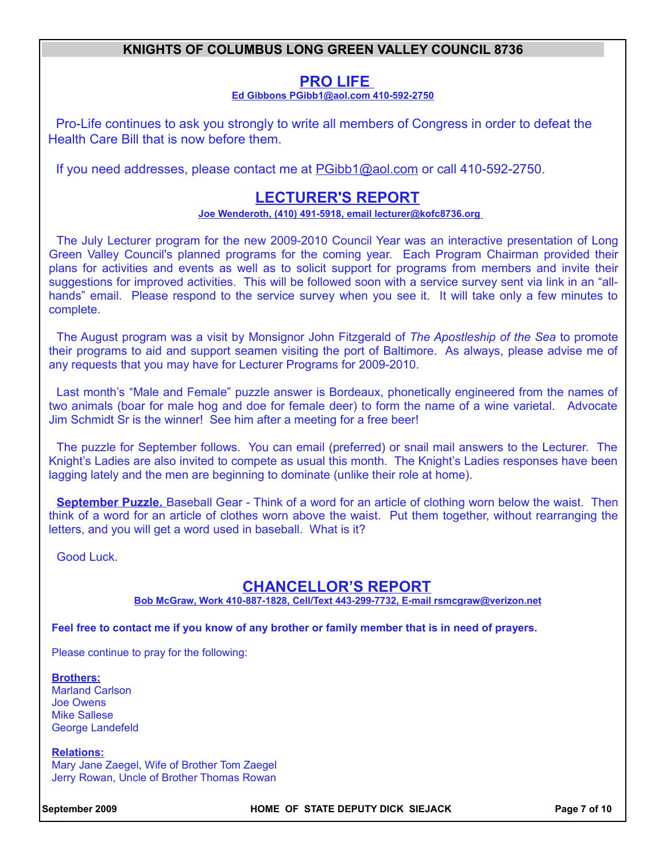## **PRO LIFE**

 **Ed Gibbons PGibb1@aol.com 410-592-2750**

Pro-Life continues to ask you strongly to write all members of Congress in order to defeat the Health Care Bill that is now before them.

If you need addresses, please contact me at PGibb1@aol.com or call 410-592-2750.

## **LECTURER'S REPORT**

#### **Joe Wenderoth, (410) 491-5918, email lecturer@kofc8736.org**

The July Lecturer program for the new 2009-2010 Council Year was an interactive presentation of Long Green Valley Council's planned programs for the coming year. Each Program Chairman provided their plans for activities and events as well as to solicit support for programs from members and invite their suggestions for improved activities. This will be followed soon with a service survey sent via link in an "allhands" email. Please respond to the service survey when you see it. It will take only a few minutes to complete.

The August program was a visit by Monsignor John Fitzgerald of *The Apostleship of the Sea* to promote their programs to aid and support seamen visiting the port of Baltimore. As always, please advise me of any requests that you may have for Lecturer Programs for 2009-2010.

Last month's "Male and Female" puzzle answer is Bordeaux, phonetically engineered from the names of two animals (boar for male hog and doe for female deer) to form the name of a wine varietal. Advocate Jim Schmidt Sr is the winner! See him after a meeting for a free beer!

The puzzle for September follows. You can email (preferred) or snail mail answers to the Lecturer. The Knight's Ladies are also invited to compete as usual this month. The Knight's Ladies responses have been lagging lately and the men are beginning to dominate (unlike their role at home).

**September Puzzle.** Baseball Gear - Think of a word for an article of clothing worn below the waist. Then think of a word for an article of clothes worn above the waist. Put them together, without rearranging the letters, and you will get a word used in baseball. What is it?

Good Luck.

## **CHANCELLOR'S REPORT**

**Bob McGraw, Work 410-887-1828, Cell/Text 443-299-7732, E-mail rsmcgraw@verizon.net**

**Feel free to contact me if you know of any brother or family member that is in need of prayers.** 

Please continue to pray for the following:

**Brothers:**

Marland Carlson Joe Owens Mike Sallese George Landefeld

**Relations:** Mary Jane Zaegel, Wife of Brother Tom Zaegel Jerry Rowan, Uncle of Brother Thomas Rowan

**September 2009 HOME OF STATE DEPUTY DICK SIEJACK Page 7 of 10**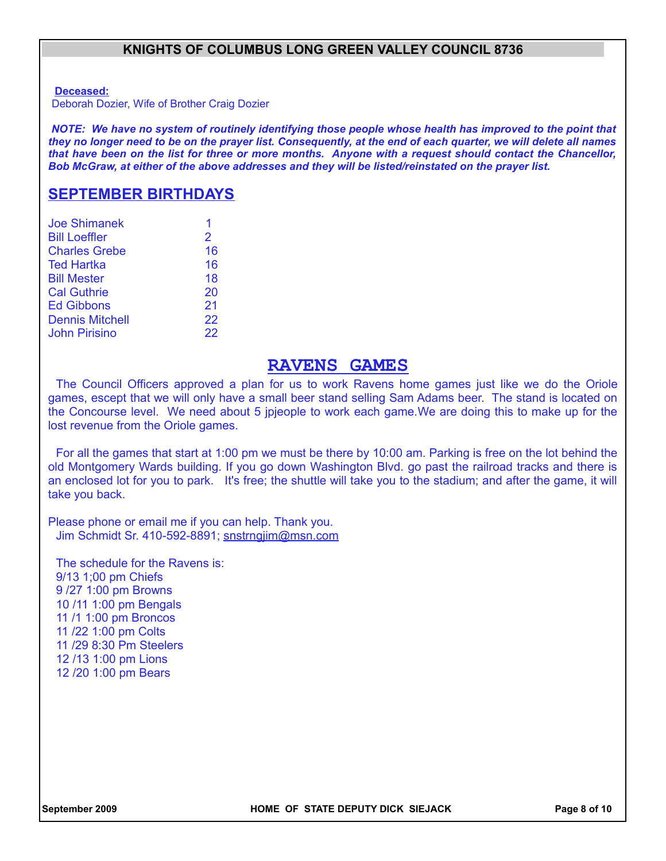**Deceased:**

Deborah Dozier, Wife of Brother Craig Dozier

*NOTE: We have no system of routinely identifying those people whose health has improved to the point that they no longer need to be on the prayer list. Consequently, at the end of each quarter, we will delete all names that have been on the list for three or more months. Anyone with a request should contact the Chancellor, Bob McGraw, at either of the above addresses and they will be listed/reinstated on the prayer list.*

#### **SEPTEMBER BIRTHDAYS**

| <b>Joe Shimanek</b>    |    |
|------------------------|----|
| <b>Bill Loeffler</b>   | 2  |
| <b>Charles Grebe</b>   | 16 |
| <b>Ted Hartka</b>      | 16 |
| <b>Bill Mester</b>     | 18 |
| <b>Cal Guthrie</b>     | 20 |
| <b>Ed Gibbons</b>      | 21 |
| <b>Dennis Mitchell</b> | 22 |
| <b>John Pirisino</b>   | 22 |

#### **RAVENS GAMES**

The Council Officers approved a plan for us to work Ravens home games just like we do the Oriole games, escept that we will only have a small beer stand selling Sam Adams beer. The stand is located on the Concourse level. We need about 5 jpjeople to work each game.We are doing this to make up for the lost revenue from the Oriole games.

For all the games that start at 1:00 pm we must be there by 10:00 am. Parking is free on the lot behind the old Montgomery Wards building. If you go down Washington Blvd. go past the railroad tracks and there is an enclosed lot for you to park. It's free; the shuttle will take you to the stadium; and after the game, it will take you back.

Please phone or email me if you can help. Thank you. Jim Schmidt Sr. 410-592-8891; snstrngjim@msn.com

The schedule for the Ravens is: 9/13 1;00 pm Chiefs 9 /27 1:00 pm Browns 10 /11 1:00 pm Bengals 11 /1 1:00 pm Broncos 11 /22 1:00 pm Colts 11 /29 8:30 Pm Steelers 12 /13 1:00 pm Lions 12 /20 1:00 pm Bears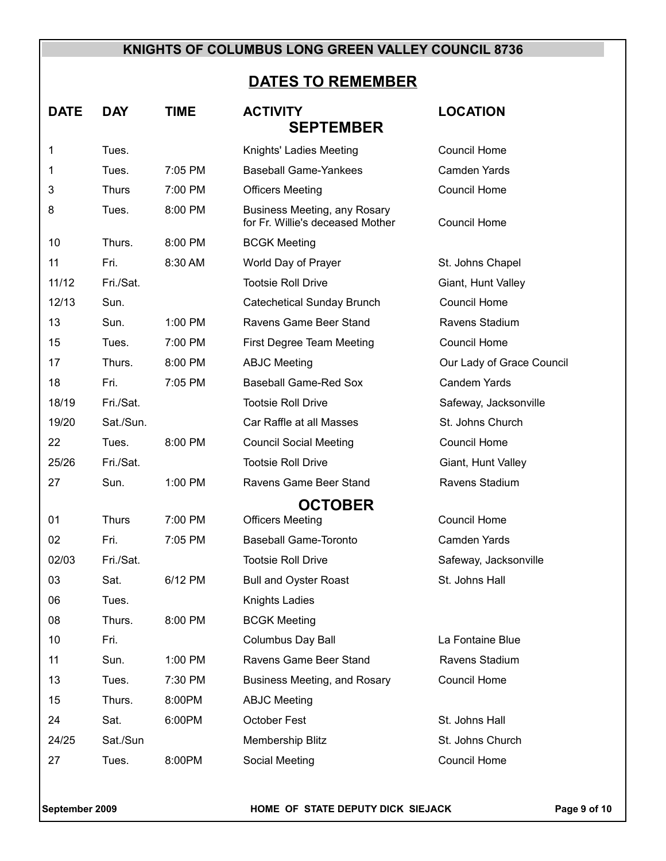# **DATES TO REMEMBER**

| <b>DATE</b>      | <b>DAY</b>   | <b>TIME</b> | <b>ACTIVITY</b>                                                         | <b>LOCATION</b>           |  |  |  |
|------------------|--------------|-------------|-------------------------------------------------------------------------|---------------------------|--|--|--|
| <b>SEPTEMBER</b> |              |             |                                                                         |                           |  |  |  |
| 1                | Tues.        |             | Knights' Ladies Meeting                                                 | <b>Council Home</b>       |  |  |  |
| 1                | Tues.        | 7:05 PM     | <b>Baseball Game-Yankees</b>                                            | <b>Camden Yards</b>       |  |  |  |
| 3                | <b>Thurs</b> | 7:00 PM     | <b>Officers Meeting</b>                                                 | <b>Council Home</b>       |  |  |  |
| 8                | Tues.        | 8:00 PM     | <b>Business Meeting, any Rosary</b><br>for Fr. Willie's deceased Mother | <b>Council Home</b>       |  |  |  |
| 10               | Thurs.       | 8:00 PM     | <b>BCGK Meeting</b>                                                     |                           |  |  |  |
| 11               | Fri.         | 8:30 AM     | World Day of Prayer                                                     | St. Johns Chapel          |  |  |  |
| 11/12            | Fri./Sat.    |             | <b>Tootsie Roll Drive</b>                                               | Giant, Hunt Valley        |  |  |  |
| 12/13            | Sun.         |             | <b>Catechetical Sunday Brunch</b>                                       | <b>Council Home</b>       |  |  |  |
| 13               | Sun.         | 1:00 PM     | Ravens Game Beer Stand                                                  | Ravens Stadium            |  |  |  |
| 15               | Tues.        | 7:00 PM     | First Degree Team Meeting                                               | Council Home              |  |  |  |
| 17               | Thurs.       | 8:00 PM     | <b>ABJC Meeting</b>                                                     | Our Lady of Grace Council |  |  |  |
| 18               | Fri.         | 7:05 PM     | <b>Baseball Game-Red Sox</b>                                            | <b>Candem Yards</b>       |  |  |  |
| 18/19            | Fri./Sat.    |             | <b>Tootsie Roll Drive</b>                                               | Safeway, Jacksonville     |  |  |  |
| 19/20            | Sat./Sun.    |             | Car Raffle at all Masses                                                | St. Johns Church          |  |  |  |
| 22               | Tues.        | 8:00 PM     | <b>Council Social Meeting</b>                                           | Council Home              |  |  |  |
| 25/26            | Fri./Sat.    |             | <b>Tootsie Roll Drive</b>                                               | Giant, Hunt Valley        |  |  |  |
| 27               | Sun.         | 1:00 PM     | Ravens Game Beer Stand                                                  | Ravens Stadium            |  |  |  |
|                  |              |             | <b>OCTOBER</b>                                                          |                           |  |  |  |
| 01               | <b>Thurs</b> | 7:00 PM     | <b>Officers Meeting</b>                                                 | <b>Council Home</b>       |  |  |  |
| 02               | Fri.         | 7:05 PM     | <b>Baseball Game-Toronto</b>                                            | <b>Camden Yards</b>       |  |  |  |
| 02/03            | Fri./Sat.    |             | <b>Tootsie Roll Drive</b>                                               | Safeway, Jacksonville     |  |  |  |
| 03               | Sat.         | 6/12 PM     | <b>Bull and Oyster Roast</b>                                            | St. Johns Hall            |  |  |  |
| 06               | Tues.        |             | Knights Ladies                                                          |                           |  |  |  |
| 08               | Thurs.       | 8:00 PM     | <b>BCGK Meeting</b>                                                     |                           |  |  |  |
| 10               | Fri.         |             | Columbus Day Ball                                                       | La Fontaine Blue          |  |  |  |
| 11               | Sun.         | 1:00 PM     | Ravens Game Beer Stand                                                  | Ravens Stadium            |  |  |  |
| 13               | Tues.        | 7:30 PM     | Business Meeting, and Rosary                                            | <b>Council Home</b>       |  |  |  |
| 15               | Thurs.       | 8:00PM      | <b>ABJC Meeting</b>                                                     |                           |  |  |  |
| 24               | Sat.         | 6:00PM      | October Fest                                                            | St. Johns Hall            |  |  |  |
| 24/25            | Sat./Sun     |             | Membership Blitz                                                        | St. Johns Church          |  |  |  |
| 27               | Tues.        | 8:00PM      | Social Meeting                                                          | Council Home              |  |  |  |

September 2009 **FORE OF STATE DEPUTY DICK SIEJACK** Page 9 of 10